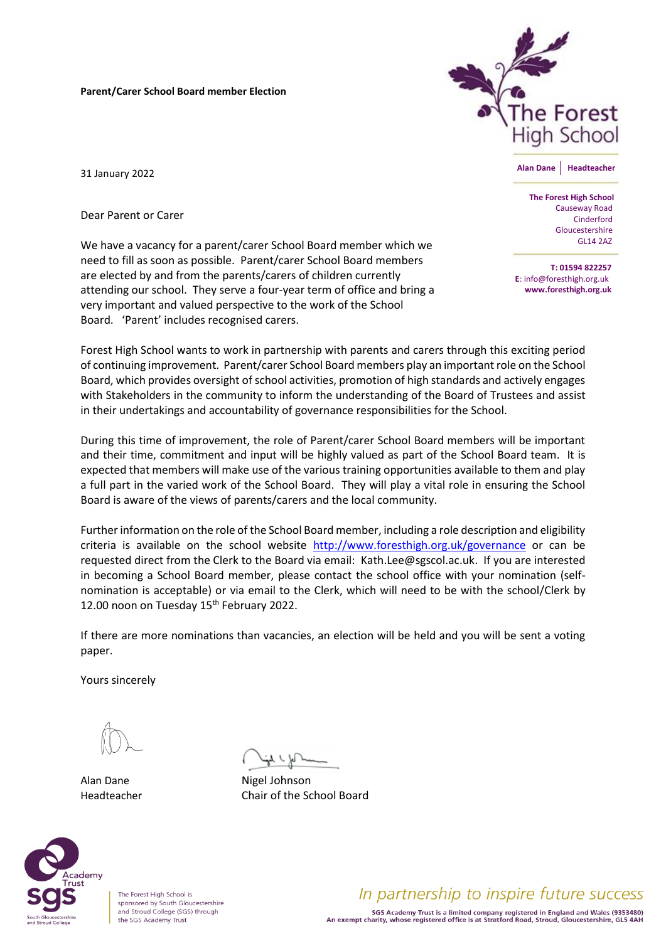**Parent/Carer School Board member Election**



**Alan Dane Headteacher**

31 January 2022

Dear Parent or Carer

We have a vacancy for a parent/carer School Board member which we need to fill as soon as possible. Parent/carer School Board members are elected by and from the parents/carers of children currently attending our school. They serve a four-year term of office and bring a very important and valued perspective to the work of the School Board. 'Parent' includes recognised carers.

 **The Forest High School** Causeway Road Cinderford Gloucestershire GL14 2AZ

**T: 01594 822257 E**: info@foresthigh.org.uk **www.foresthigh.org.uk**

Forest High School wants to work in partnership with parents and carers through this exciting period of continuing improvement. Parent/carer School Board members play an important role on the School Board, which provides oversight of school activities, promotion of high standards and actively engages with Stakeholders in the community to inform the understanding of the Board of Trustees and assist in their undertakings and accountability of governance responsibilities for the School.

During this time of improvement, the role of Parent/carer School Board members will be important and their time, commitment and input will be highly valued as part of the School Board team. It is expected that members will make use of the various training opportunities available to them and play a full part in the varied work of the School Board. They will play a vital role in ensuring the School Board is aware of the views of parents/carers and the local community.

Further information on the role of the School Board member, including a role description and eligibility criteria is available on the school website <http://www.foresthigh.org.uk/governance> or can be requested direct from the Clerk to the Board via email: Kath.Lee@sgscol.ac.uk. If you are interested in becoming a School Board member, please contact the school office with your nomination (selfnomination is acceptable) or via email to the Clerk, which will need to be with the school/Clerk by 12.00 noon on Tuesday 15<sup>th</sup> February 2022.

If there are more nominations than vacancies, an election will be held and you will be sent a voting paper.

Yours sincerely

Alan Dane Nigel Johnson Headteacher Chair of the School Board



The Forest High School is sponsored by South Gloucestershire and Stroud College (SGS) through the SGS Academy Trust

In partnership to inspire future success